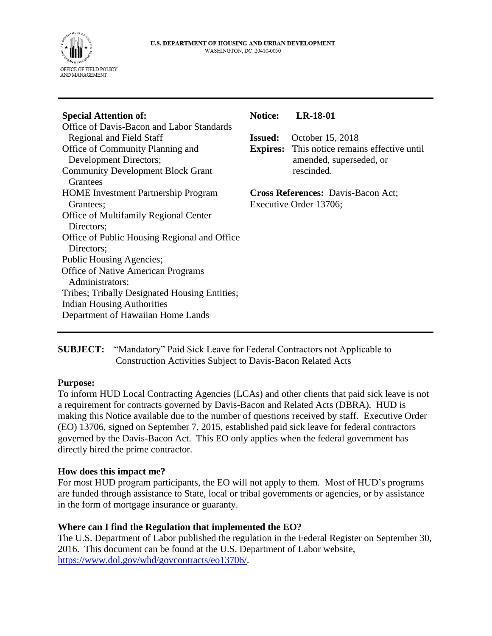

| <b>Special Attention of:</b>                         | <b>Notice:</b>                                                      | $LR-18-01$                                                                                   |
|------------------------------------------------------|---------------------------------------------------------------------|----------------------------------------------------------------------------------------------|
| Office of Davis-Bacon and Labor Standards            |                                                                     |                                                                                              |
| <b>Regional and Field Staff</b>                      | <b>Issued:</b>                                                      | October 15, 2018                                                                             |
| Office of Community Planning and                     |                                                                     | <b>Expires:</b> This notice remains effective until<br>amended, superseded, or<br>rescinded. |
| Development Directors;                               |                                                                     |                                                                                              |
| <b>Community Development Block Grant</b><br>Grantees |                                                                     |                                                                                              |
| <b>HOME</b> Investment Partnership Program           | <b>Cross References: Davis-Bacon Act;</b><br>Executive Order 13706; |                                                                                              |
| Grantees;                                            |                                                                     |                                                                                              |
| <b>Office of Multifamily Regional Center</b>         |                                                                     |                                                                                              |
| Directors;                                           |                                                                     |                                                                                              |
| Office of Public Housing Regional and Office         |                                                                     |                                                                                              |
| Directors;                                           |                                                                     |                                                                                              |
| Public Housing Agencies;                             |                                                                     |                                                                                              |
| <b>Office of Native American Programs</b>            |                                                                     |                                                                                              |
| Administrators;                                      |                                                                     |                                                                                              |
| Tribes; Tribally Designated Housing Entities;        |                                                                     |                                                                                              |
| <b>Indian Housing Authorities</b>                    |                                                                     |                                                                                              |
| Department of Hawaiian Home Lands                    |                                                                     |                                                                                              |
|                                                      |                                                                     |                                                                                              |

**SUBJECT:** "Mandatory" Paid Sick Leave for Federal Contractors not Applicable to Construction Activities Subject to Davis-Bacon Related Acts

## **Purpose:**

To inform HUD Local Contracting Agencies (LCAs) and other clients that paid sick leave is not a requirement for contracts governed by Davis-Bacon and Related Acts (DBRA). HUD is making this Notice available due to the number of questions received by staff. Executive Order (EO) 13706, signed on September 7, 2015, established paid sick leave for federal contractors governed by the Davis-Bacon Act. This EO only applies when the federal government has directly hired the prime contractor.

## **How does this impact me?**

For most HUD program participants, the EO will not apply to them. Most of HUD's programs are funded through assistance to State, local or tribal governments or agencies, or by assistance in the form of mortgage insurance or guaranty.

## **Where can I find the Regulation that implemented the EO?**

The U.S. Department of Labor published the regulation in the Federal Register on September 30, 2016. This document can be found at the U.S. Department of Labor website, [https://www.dol.gov/whd/govcontracts/eo13706/.](https://www.dol.gov/whd/govcontracts/eo13706/)